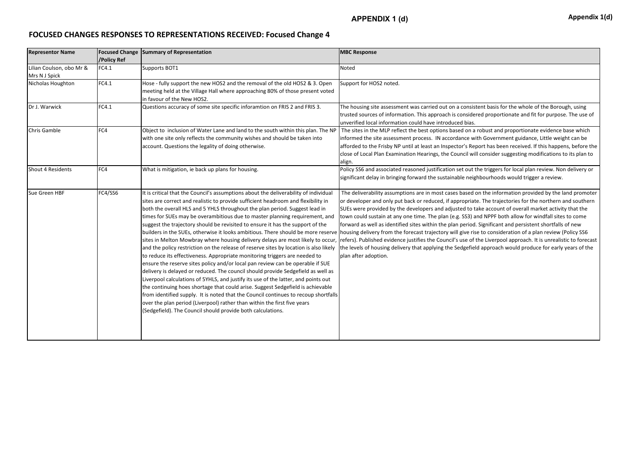## **APPENDIX 1 (d) A**ppendix 1(d)

## **FOCUSED CHANGES RESPONSES TO REPRESENTATIONS RECEIVED: Focused Change 4**

| <b>Representor Name</b>                   | <b>Focused Change</b><br>/Policy Ref | <b>Summary of Representation</b>                                                                                                                                                                                                                                                                                                                                                                                                                                                                                                                                                                                                                                                                                                                                                                                                                                                                                                                                                                                                                                                                                                                                                                                                                                                                                                                                                                                        | <b>MBC Response</b>                                                                                                                                                                                                                                                                                                                                                                                                                                                                           |
|-------------------------------------------|--------------------------------------|-------------------------------------------------------------------------------------------------------------------------------------------------------------------------------------------------------------------------------------------------------------------------------------------------------------------------------------------------------------------------------------------------------------------------------------------------------------------------------------------------------------------------------------------------------------------------------------------------------------------------------------------------------------------------------------------------------------------------------------------------------------------------------------------------------------------------------------------------------------------------------------------------------------------------------------------------------------------------------------------------------------------------------------------------------------------------------------------------------------------------------------------------------------------------------------------------------------------------------------------------------------------------------------------------------------------------------------------------------------------------------------------------------------------------|-----------------------------------------------------------------------------------------------------------------------------------------------------------------------------------------------------------------------------------------------------------------------------------------------------------------------------------------------------------------------------------------------------------------------------------------------------------------------------------------------|
| Lilian Coulson, obo Mr &<br>Mrs N J Spick | FC4.1                                | Supports BOT1                                                                                                                                                                                                                                                                                                                                                                                                                                                                                                                                                                                                                                                                                                                                                                                                                                                                                                                                                                                                                                                                                                                                                                                                                                                                                                                                                                                                           | Noted                                                                                                                                                                                                                                                                                                                                                                                                                                                                                         |
| Nicholas Houghton                         | FC4.1                                | Hose - fully support the new HOS2 and the removal of the old HOS2 & 3. Open<br>meeting held at the Village Hall where approaching 80% of those present voted<br>in favour of the New HOS2.                                                                                                                                                                                                                                                                                                                                                                                                                                                                                                                                                                                                                                                                                                                                                                                                                                                                                                                                                                                                                                                                                                                                                                                                                              | Support for HOS2 noted.                                                                                                                                                                                                                                                                                                                                                                                                                                                                       |
| Dr J. Warwick                             | FC4.1                                | Questions accuracy of some site specific inforamtion on FRIS 2 and FRIS 3.                                                                                                                                                                                                                                                                                                                                                                                                                                                                                                                                                                                                                                                                                                                                                                                                                                                                                                                                                                                                                                                                                                                                                                                                                                                                                                                                              | The housing site assessment was carried out on a consistent<br>trusted sources of information. This approach is considered<br>unverified local information could have introduced bias.                                                                                                                                                                                                                                                                                                        |
| <b>Chris Gamble</b>                       | FC4                                  | Object to inclusion of Water Lane and land to the south within this plan. The NP<br>with one site only reflects the community wishes and should be taken into<br>account. Questions the legality of doing otherwise.                                                                                                                                                                                                                                                                                                                                                                                                                                                                                                                                                                                                                                                                                                                                                                                                                                                                                                                                                                                                                                                                                                                                                                                                    | The sites in the MLP reflect the best options based on a rob<br>informed the site assessment process. IN accordance with G<br>afforded to the Frisby NP until at least an Inspector's Report<br>close of Local Plan Examination Hearings, the Council will cor<br>align.                                                                                                                                                                                                                      |
| <b>Shout 4 Residents</b>                  | FC4                                  | What is mitigation, ie back up plans for housing.                                                                                                                                                                                                                                                                                                                                                                                                                                                                                                                                                                                                                                                                                                                                                                                                                                                                                                                                                                                                                                                                                                                                                                                                                                                                                                                                                                       | Policy SS6 and associated reasoned justification set out the t<br>significant delay in bringing forward the sustainable neighbo                                                                                                                                                                                                                                                                                                                                                               |
| Sue Green HBF                             | FC4/SS6                              | It is critical that the Council's assumptions about the deliverability of individual<br>sites are correct and realistic to provide sufficient headroom and flexibility in<br>both the overall HLS and 5 YHLS throughout the plan period. Suggest lead in<br>times for SUEs may be overambitious due to master planning requirement, and<br>suggest the trajectory should be revisited to ensure it has the support of the<br>builders in the SUEs, otherwise it looks ambitious. There should be more reserve housing delivery from the forecast trajectory will give rise to<br>sites in Melton Mowbray where housing delivery delays are most likely to occur<br>and the policy restriction on the release of reserve sites by location is also likely<br>to reduce its effectiveness. Appropriate monitoring triggers are needed to<br>ensure the reserve sites policy and/or local pan review can be operable if SUE<br>delivery is delayed or reduced. The council should provide Sedgefield as well as<br>Liverpool calculations of 5YHLS, and justify its use of the latter, and points out<br>the continuing hoes shortage that could arise. Suggest Sedgefield is achievable<br>from identified supply. It is noted that the Council continues to recoup shortfalls<br>over the plan period (Liverpool) rather than within the first five years<br>(Sedgefield). The Council should provide both calculations. | The deliverability assumptions are in most cases based on th<br>or developer and only put back or reduced, if appropriate. Th<br>SUEs were provided by the developers and adjusted to take<br>town could sustain at any one time. The plan (e.g. SS3) and N<br>forward as well as identified sites within the plan period. Sigi<br>refers). Published evidence justifies the Council's use of the I<br>the levels of housing delivery that applying the Sedgefield ap<br>plan after adoption. |

t basis for the whole of the Borough, using proportionate and fit for purpose. The use of

oust and proportionate evidence base which Government guidance, Little weight can be t has been received. If this happens, before the nsider suggesting modifications to its plan to

triggers for local plan review. Non delivery or surhoods would trigger a review.

the information provided by the land promoter he trajectories for the northern and southern account of overall market activity that the NPPF both allow for windfall sites to come mificant and persistent shortfalls of new o consideration of a plan review (Policy SS6 Liverpool approach. It is unrealistic to forecast pproach would produce for early years of the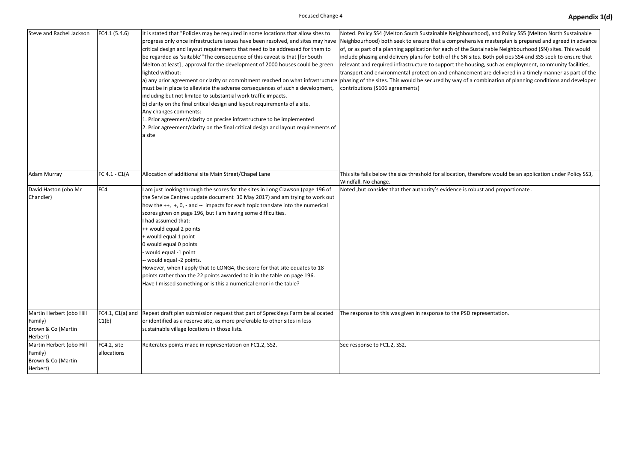| <b>Steve and Rachel Jackson</b>                                       | FC4.1 (5.4.6)               | It is stated that "Policies may be required in some locations that allow sites to<br>progress only once infrastructure issues have been resolved, and sites may have  Neighbourhood) both seek to ensure that a comprehensive<br>critical design and layout requirements that need to be addressed for them to<br>be regarded as 'suitable'"The consequence of this caveat is that [for South]<br>Melton at least], approval for the development of 2000 houses could be green<br>lighted without:<br>a) any prior agreement or clarity or commitment reached on what infrastructure  phasing of the sites. This would be secured by way of a com<br>must be in place to alleviate the adverse consequences of such a development,<br>including but not limited to substantial work traffic impacts.<br>b) clarity on the final critical design and layout requirements of a site.<br>Any changes comments:<br>1. Prior agreement/clarity on precise infrastructure to be implemented<br>2. Prior agreement/clarity on the final critical design and layout requirements of<br>a site | Noted. Policy SS4 (Melton South Sustainable Neighbourhoo<br>of, or as part of a planning application for each of the Sustai<br>include phasing and delivery plans for both of the SN sites. I<br>relevant and required infrastructure to support the housing<br>transport and environmental protection and enhancement<br>contributions (S106 agreements) |
|-----------------------------------------------------------------------|-----------------------------|---------------------------------------------------------------------------------------------------------------------------------------------------------------------------------------------------------------------------------------------------------------------------------------------------------------------------------------------------------------------------------------------------------------------------------------------------------------------------------------------------------------------------------------------------------------------------------------------------------------------------------------------------------------------------------------------------------------------------------------------------------------------------------------------------------------------------------------------------------------------------------------------------------------------------------------------------------------------------------------------------------------------------------------------------------------------------------------|-----------------------------------------------------------------------------------------------------------------------------------------------------------------------------------------------------------------------------------------------------------------------------------------------------------------------------------------------------------|
| <b>Adam Murray</b>                                                    | FC 4.1 - C1(A               | Allocation of additional site Main Street/Chapel Lane                                                                                                                                                                                                                                                                                                                                                                                                                                                                                                                                                                                                                                                                                                                                                                                                                                                                                                                                                                                                                                 | This site falls below the size threshold for allocation, therefo<br>Windfall. No change.                                                                                                                                                                                                                                                                  |
| David Haston (obo Mr<br>Chandler)                                     | FC4                         | am just looking through the scores for the sites in Long Clawson (page 196 of<br>the Service Centres update document 30 May 2017) and am trying to work out<br>how the $++$ , $+, 0$ , $-$ and $-$ impacts for each topic translate into the numerical<br>scores given on page 196, but I am having some difficulties.<br>I had assumed that:<br>++ would equal 2 points<br>+ would equal 1 point<br>0 would equal 0 points<br>would equal -1 point<br>- would equal -2 points.<br>However, when I apply that to LONG4, the score for that site equates to 18<br>points rather than the 22 points awarded to it in the table on page 196.<br>Have I missed something or is this a numerical error in the table?                                                                                                                                                                                                                                                                                                                                                                       | Noted, but consider that ther authority's evidence is robust                                                                                                                                                                                                                                                                                              |
| Martin Herbert (obo Hill<br>Family)<br>Brown & Co (Martin<br>Herbert) | FC4.1, $C1(a)$ and<br>C1(b) | Repeat draft plan submission request that part of Spreckleys Farm be allocated<br>or identified as a reserve site, as more preferable to other sites in less<br>sustainable village locations in those lists.                                                                                                                                                                                                                                                                                                                                                                                                                                                                                                                                                                                                                                                                                                                                                                                                                                                                         | The response to this was given in response to the PSD repre                                                                                                                                                                                                                                                                                               |
| Martin Herbert (obo Hill<br>Family)<br>Brown & Co (Martin<br>Herbert) | FC4.2, site<br>allocations  | Reiterates points made in representation on FC1.2, SS2.                                                                                                                                                                                                                                                                                                                                                                                                                                                                                                                                                                                                                                                                                                                                                                                                                                                                                                                                                                                                                               | See response to FC1.2, SS2.                                                                                                                                                                                                                                                                                                                               |

od), and Policy SS5 (Melton North Sustainable e masterplan is prepared and agreed in advance ainable Neighbourhood (SN) sites. This would Both policies SS4 and SS5 seek to ensure that g, such as employment, community facilities,  $\alpha$  are delivered in a timely manner as part of the nbination of planning conditions and developer

Fore would be an application under Policy SS3,

t and proportionate .

esentation.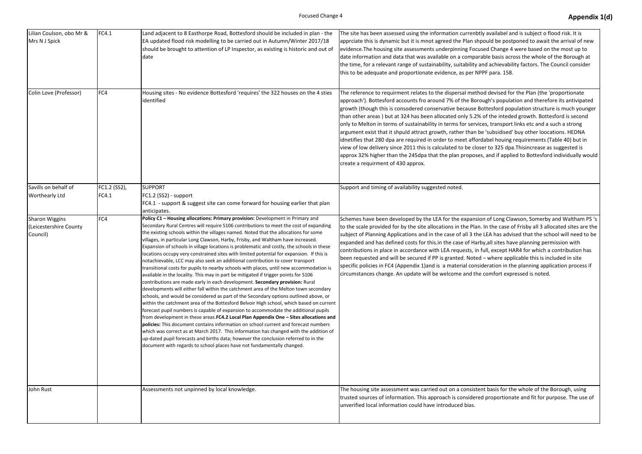| Lilian Coulson, obo Mr &<br>Mrs N J Spick                   | FC4.1                 | Land adjacent to 8 Easthorpe Road, Bottesford should be included in plan - the<br>EA updated flood risk modelling to be carried out in Autumn/Winter 2017/18<br>should be brought to attention of LP Inspector, as existing is historic and out of<br>date                                                                                                                                                                                                                                                                                                                                                                                                                                                                                                                                                                                                                                                                                                                                                                                                                                                                                                                                                                                                                                                                                                                                                                                                                                                                                                                                                                                                                                                   | The site has been assessed using the information currenbtly<br>apprciate this is dynamic but it is mnot agreed the Plan shpo<br>evidence. The housing site assessments underpinning Focuse<br>date information and data that was available on a comparal<br>the time, for a relevant range of sustainability, suitability an<br>this to be adequate and proportionate evidence, as per NPF                                                                                                                                                                                                                                   |
|-------------------------------------------------------------|-----------------------|--------------------------------------------------------------------------------------------------------------------------------------------------------------------------------------------------------------------------------------------------------------------------------------------------------------------------------------------------------------------------------------------------------------------------------------------------------------------------------------------------------------------------------------------------------------------------------------------------------------------------------------------------------------------------------------------------------------------------------------------------------------------------------------------------------------------------------------------------------------------------------------------------------------------------------------------------------------------------------------------------------------------------------------------------------------------------------------------------------------------------------------------------------------------------------------------------------------------------------------------------------------------------------------------------------------------------------------------------------------------------------------------------------------------------------------------------------------------------------------------------------------------------------------------------------------------------------------------------------------------------------------------------------------------------------------------------------------|------------------------------------------------------------------------------------------------------------------------------------------------------------------------------------------------------------------------------------------------------------------------------------------------------------------------------------------------------------------------------------------------------------------------------------------------------------------------------------------------------------------------------------------------------------------------------------------------------------------------------|
| Colin Love (Professor)                                      | FC4                   | Housing sites - No evidence Bottesford 'requires' the 322 houses on the 4 sties<br>identified                                                                                                                                                                                                                                                                                                                                                                                                                                                                                                                                                                                                                                                                                                                                                                                                                                                                                                                                                                                                                                                                                                                                                                                                                                                                                                                                                                                                                                                                                                                                                                                                                | The reference to requirment relates to the dispersal metho<br>approach'). Bottesford accounts fro around 7% of the Borou<br>growth (though this is consodered conservative because Bo<br>than other areas) but at 324 has been allocated only 5.2% of<br>only to Melton in terms of sustainability in terms for service<br>argument exist that it shpuld attract growth, rather than be<br>idnetifies that 280 dpa are required in order to meet afford<br>view of low delivery since 2011 this is calculated to be close<br>approx 32% higher than the 245dpa that the plan proposes,<br>create a requirment of 430 approx. |
| Savills on behalf of<br><b>Worthearly Ltd</b>               | FC1.2 (SS2),<br>FC4.1 | <b>SUPPORT</b><br>FC1.2 (SS2) - support<br>FC4.1 - support & suggest site can come forward for housing earlier that plan<br>anticipates.                                                                                                                                                                                                                                                                                                                                                                                                                                                                                                                                                                                                                                                                                                                                                                                                                                                                                                                                                                                                                                                                                                                                                                                                                                                                                                                                                                                                                                                                                                                                                                     | Support and timing of availability suggested noted.                                                                                                                                                                                                                                                                                                                                                                                                                                                                                                                                                                          |
| <b>Sharon Wiggins</b><br>(Leicestershire County<br>Council) | FC4                   | Policy C1 - Housing allocations: Primary provision: Development in Primary and<br>Secondary Rural Centres will require S106 contributions to meet the cost of expanding<br>the existing schools within the villages named. Noted that the allocations for some<br>villages, in particular Long Clawson, Harby, Frisby, and Waltham have increased.<br>Expansion of schools in village locations is problematic and costly, the schools in these<br>locations occupy very constrained sites with limited potential for expansion. If this is<br>notachievable, LCC may also seek an additional contribution to cover transport<br>transitional costs for pupils to nearby schools with places, until new accommodation is<br>available in the locality. This may in part be mitigated if trigger points for S106<br>contributions are made early in each development. Secondary provision: Rural<br>developments will either fall within the catchment area of the Melton town secondary<br>schools, and would be considered as part of the Secondary options outlined above, or<br>within the catchment area of the Bottesford Belvoir High school, which based on current<br>forecast pupil numbers is capable of expansion to accommodate the additional pupils<br>from development in these areas. FC4.2 Local Plan Appendix One - Sites allocations and<br>policies: This document contains information on school current and forecast numbers<br>which was correct as at March 2017. This information has changed with the addition of<br>up-dated pupil forecasts and births data; however the conclusion referred to in the<br>document with regards to school places have not fundamentally changed. | Schemes have been developed by the LEA for the expansior<br>to the scale provided for by the site allocations in the Plan.<br>subject of Planning Applications and in the case of all 3 the I<br>expanded and has defined costs for this.in the case of Harby<br>contributions in place in accordance with LEA requests, in fu<br>been requested and will be secured if PP is granted. Noted -<br>specific policies in FC4 (Appendix 1) and is a material consid<br>circumstances change. An update will be welcome and the                                                                                                  |
| John Rust                                                   |                       | Assessments not unpinned by local knowledge.                                                                                                                                                                                                                                                                                                                                                                                                                                                                                                                                                                                                                                                                                                                                                                                                                                                                                                                                                                                                                                                                                                                                                                                                                                                                                                                                                                                                                                                                                                                                                                                                                                                                 | The housing site assessment was carried out on a consisten<br>trusted sources of information. This approach is considered<br>unverified local information could have introduced bias.                                                                                                                                                                                                                                                                                                                                                                                                                                        |

y availabel and is subject o flood risk. It is ould be postponed to await the arrival of new ed Change 4 were based on the most up to ble basis across the whole of the Borough at nd achievability factors. The Council consider PF para. 158.

d devised for the Plan (the 'proportionate ugh's population and therefore its antivipated pttesford population structure is much younger of the inteded growth. Bottesford is second es, transport links etc and a such a strong subsidised' buy other loocations. HEDNA label houing requirements (Table 40) but in er to 325 dpa.Thisincrease as suggested is and if applied to Bottesford individually would

n of Long Clawson, Somerby and Waltham PS 's In the case of Frisby all 3 allocated sites are the LEA has advised that the school will need to be y, all sites have planning permission with ull, except HAR4 for which a contribution has - where applicable this is included in site deration in the planning application process if comfort expressed is noted.

It basis for the whole of the Borough, using I proportionate and fit for purpose. The use of